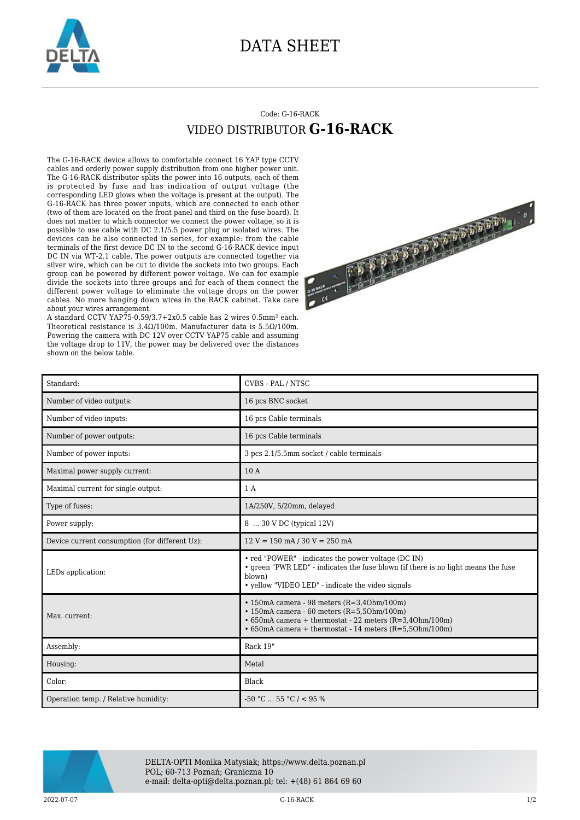

## DATA SHEET

## Code: G-16-RACK VIDEO DISTRIBUTOR **G-16-RACK**

The G-16-RACK device allows to comfortable connect 16 YAP type CCTV cables and orderly power supply distribution from one higher power unit. The G-16-RACK distributor splits the power into 16 outputs, each of them is protected by fuse and has indication of output voltage (the corresponding LED glows when the voltage is present at the output). The G-16-RACK has three power inputs, which are connected to each other (two of them are located on the front panel and third on the fuse board). It does not matter to which connector we connect the power voltage, so it is possible to use cable with DC 2.1/5.5 power plug or isolated wires. The devices can be also connected in series, for example: from the cable terminals of the first device DC IN to the second G-16-RACK device input DC IN via WT-2.1 cable. The power outputs are connected together via silver wire, which can be cut to divide the sockets into two groups. Each group can be powered by different power voltage. We can for example divide the sockets into three groups and for each of them connect the different power voltage to eliminate the voltage drops on the power cables. No more hanging down wires in the RACK cabinet. Take care about your wires arrangement.

A standard CCTV YAP75-0.59/3.7+2x0.5 cable has 2 wires 0.5mm² each. Theoretical resistance is 3.4Ω/100m. Manufacturer data is 5.5Ω/100m. Powering the camera with DC 12V over CCTV YAP75 cable and assuming the voltage drop to 11V, the power may be delivered over the distances shown on the below table.



| Standard:                                      | CVBS - PAL / NTSC                                                                                                                                                                                                                      |
|------------------------------------------------|----------------------------------------------------------------------------------------------------------------------------------------------------------------------------------------------------------------------------------------|
| Number of video outputs:                       | 16 pcs BNC socket                                                                                                                                                                                                                      |
| Number of video inputs:                        | 16 pcs Cable terminals                                                                                                                                                                                                                 |
| Number of power outputs:                       | 16 pcs Cable terminals                                                                                                                                                                                                                 |
| Number of power inputs:                        | 3 pcs 2.1/5.5mm socket / cable terminals                                                                                                                                                                                               |
| Maximal power supply current:                  | 10 A                                                                                                                                                                                                                                   |
| Maximal current for single output:             | 1 A                                                                                                                                                                                                                                    |
| Type of fuses:                                 | 1A/250V, 5/20mm, delayed                                                                                                                                                                                                               |
| Power supply:                                  | 8  30 V DC (typical 12V)                                                                                                                                                                                                               |
| Device current consumption (for different Uz): | $12 V = 150$ mA $/ 30 V = 250$ mA                                                                                                                                                                                                      |
| LEDs application:                              | • red "POWER" - indicates the power voltage (DC IN)<br>• green "PWR LED" - indicates the fuse blown (if there is no light means the fuse<br>blown)<br>• yellow "VIDEO LED" - indicate the video signals                                |
| Max. current:                                  | $\cdot$ 150mA camera - 98 meters (R=3,40hm/100m)<br>$\cdot$ 150mA camera - 60 meters (R=5,50hm/100m)<br>$\cdot$ 650mA camera + thermostat - 22 meters (R=3,40hm/100m)<br>$\cdot$ 650mA camera + thermostat - 14 meters (R=5,50hm/100m) |
| Assembly:                                      | Rack 19"                                                                                                                                                                                                                               |
| Housing:                                       | Metal                                                                                                                                                                                                                                  |
| Color:                                         | Black                                                                                                                                                                                                                                  |
| Operation temp. / Relative humidity:           | $-50$ °C $\ldots$ 55 °C / < 95 %                                                                                                                                                                                                       |



DELTA-OPTI Monika Matysiak; https://www.delta.poznan.pl POL; 60-713 Poznań; Graniczna 10 e-mail: delta-opti@delta.poznan.pl; tel: +(48) 61 864 69 60